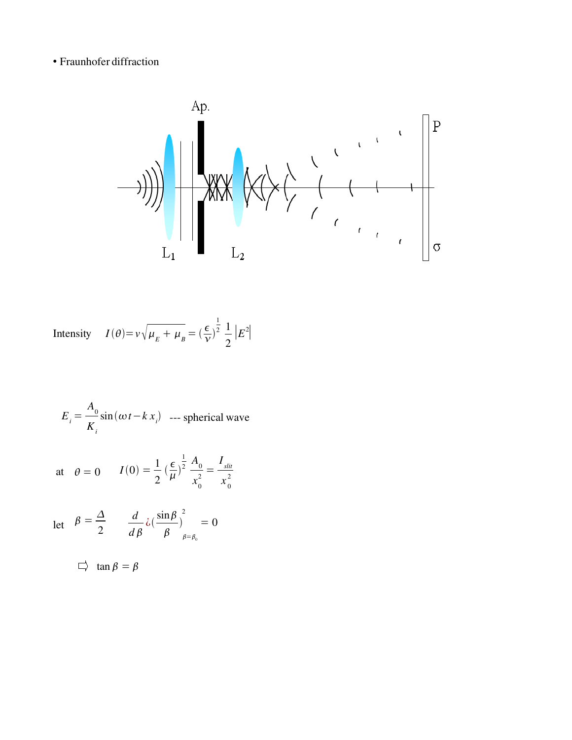• Fraunhofer diffraction



Intensity 
$$
I(\theta) = v \sqrt{\mu_E + \mu_B} = \left(\frac{\epsilon}{v}\right)^{\frac{1}{2}} \frac{1}{2} |E^2|
$$

$$
E_i = \frac{A_0}{K_i} \sin(\omega t - k x_i)
$$
 --- spherical wave

at 
$$
\theta = 0
$$
  $I(0) = \frac{1}{2} \left(\frac{\epsilon}{\mu}\right)^{\frac{1}{2}} \frac{A_0}{x_0^2} = \frac{I_{slit}}{x_0^2}$ 

$$
\text{let} \quad \beta = \frac{\Delta}{2} \qquad \frac{d}{d\beta} \lambda \left( \frac{\sin \beta}{\beta} \right)^2_{\beta = \beta_0} = 0
$$

 $\Box$  tan  $\beta = \beta$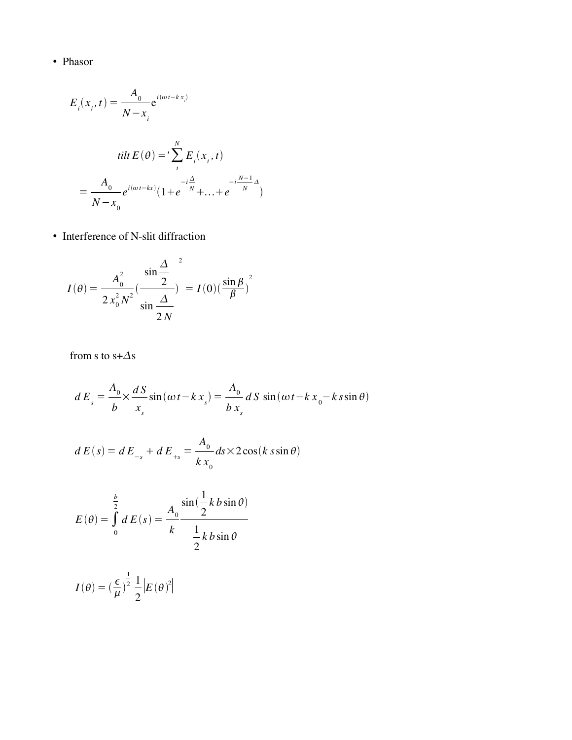• Phasor

$$
E_i(x_i, t) = \frac{A_0}{N - x_i} e^{i(\omega t - k x_i)}
$$
  
 
$$
tilt E(\theta) = \sum_{i}^{N} E_i(x_i, t)
$$

$$
= \frac{A_0}{N - x_0} e^{i(\omega t - kx)} (1 + e^{-\frac{i\Delta}{N}} + ... + e^{-\frac{iN - 1}{N}\Delta})
$$

• Interference of N-slit diffraction

$$
I(\theta) = \frac{A_0^2}{2 x_0^2 N^2} \left(\frac{\sin{\frac{\Delta}{2}}}{\sin{\frac{\Delta}{2}}}\right)^2 = I(0) \left(\frac{\sin{\beta}}{\beta}\right)^2
$$

from s to  $s+\Delta s$ 

$$
dE_s = \frac{A_0}{b} \times \frac{dS}{x_s} \sin(\omega t - k x_s) = \frac{A_0}{b x_s} dS \sin(\omega t - k x_0 - k s \sin \theta)
$$

$$
d E(s) = d E_{-s} + d E_{+s} = \frac{A_0}{k x_0} ds \times 2 \cos(k \sin \theta)
$$

$$
E(\theta) = \int_{0}^{\frac{b}{2}} dE(s) = \frac{A_0}{k} \frac{\sin(\frac{1}{2}kb\sin\theta)}{\frac{1}{2}kb\sin\theta}
$$

$$
I(\theta) = \left(\frac{\epsilon}{\mu}\right)^{\frac{1}{2}} \frac{1}{2} \left|E(\theta)^2\right|
$$